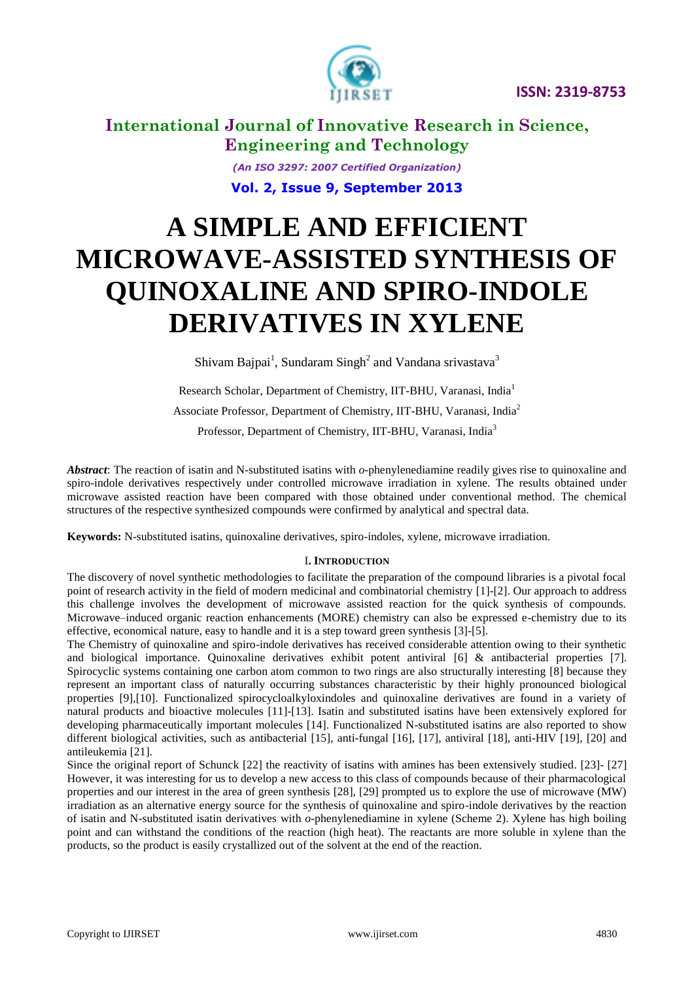



> *(An ISO 3297: 2007 Certified Organization)* **Vol. 2, Issue 9, September 2013**

# **A SIMPLE AND EFFICIENT MICROWAVE-ASSISTED SYNTHESIS OF QUINOXALINE AND SPIRO-INDOLE DERIVATIVES IN XYLENE**

Shivam Bajpai<sup>1</sup>, Sundaram Singh<sup>2</sup> and Vandana srivastava<sup>3</sup>

Research Scholar, Department of Chemistry, IIT-BHU, Varanasi, India<sup>1</sup> Associate Professor, Department of Chemistry, IIT-BHU, Varanasi, India<sup>2</sup> Professor, Department of Chemistry, IIT-BHU, Varanasi, India<sup>3</sup>

*Abstract*: The reaction of isatin and N-substituted isatins with *o*-phenylenediamine readily gives rise to quinoxaline and spiro-indole derivatives respectively under controlled microwave irradiation in xylene. The results obtained under microwave assisted reaction have been compared with those obtained under conventional method. The chemical structures of the respective synthesized compounds were confirmed by analytical and spectral data.

**Keywords:** N-substituted isatins, quinoxaline derivatives, spiro-indoles, xylene, microwave irradiation.

### I**. INTRODUCTION**

The discovery of novel synthetic methodologies to facilitate the preparation of the compound libraries is a pivotal focal point of research activity in the field of modern medicinal and combinatorial chemistry [1]-[2]. Our approach to address this challenge involves the development of microwave assisted reaction for the quick synthesis of compounds. Microwave–induced organic reaction enhancements (MORE) chemistry can also be expressed e-chemistry due to its effective, economical nature, easy to handle and it is a step toward green synthesis [3]-[5].

The Chemistry of quinoxaline and spiro-indole derivatives has received considerable attention owing to their synthetic and biological importance. Quinoxaline derivatives exhibit potent antiviral [6] & antibacterial properties [7]. Spirocyclic systems containing one carbon atom common to two rings are also structurally interesting [8] because they represent an important class of naturally occurring substances characteristic by their highly pronounced biological properties [9],[10]. Functionalized spirocycloalkyloxindoles and quinoxaline derivatives are found in a variety of natural products and bioactive molecules [11]-[13]. Isatin and substituted isatins have been extensively explored for developing pharmaceutically important molecules [14]. Functionalized N-substituted isatins are also reported to show different biological activities, such as antibacterial [15], anti-fungal [16], [17], antiviral [18], anti-HIV [19], [20] and antileukemia [21].

Since the original report of Schunck [22] the reactivity of isatins with amines has been extensively studied. [23]- [27] However, it was interesting for us to develop a new access to this class of compounds because of their pharmacological properties and our interest in the area of green synthesis [28], [29] prompted us to explore the use of microwave (MW) irradiation as an alternative energy source for the synthesis of quinoxaline and spiro-indole derivatives by the reaction of isatin and N-substituted isatin derivatives with *o*-phenylenediamine in xylene (Scheme 2). Xylene has high boiling point and can withstand the conditions of the reaction (high heat). The reactants are more soluble in xylene than the products, so the product is easily crystallized out of the solvent at the end of the reaction.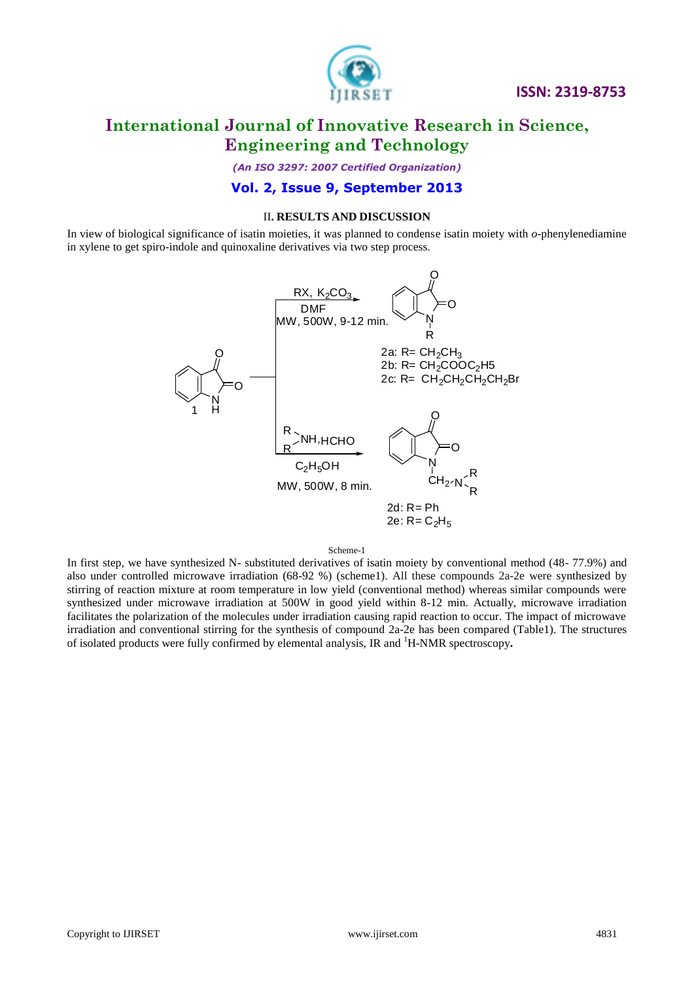

*(An ISO 3297: 2007 Certified Organization)*

### **Vol. 2, Issue 9, September 2013**

#### II**. RESULTS AND DISCUSSION**

In view of biological significance of isatin moieties, it was planned to condense isatin moiety with *o*-phenylenediamine in xylene to get spiro-indole and quinoxaline derivatives via two step process.



#### Scheme-1

In first step, we have synthesized N- substituted derivatives of isatin moiety by conventional method (48- 77.9%) and also under controlled microwave irradiation (68-92 %) (scheme1). All these compounds 2a-2e were synthesized by stirring of reaction mixture at room temperature in low yield (conventional method) whereas similar compounds were synthesized under microwave irradiation at 500W in good yield within 8-12 min. Actually, microwave irradiation facilitates the polarization of the molecules under irradiation causing rapid reaction to occur. The impact of microwave irradiation and conventional stirring for the synthesis of compound 2a-2e has been compared (Table1). The structures of isolated products were fully confirmed by elemental analysis, IR and <sup>1</sup>H-NMR spectroscopy**.**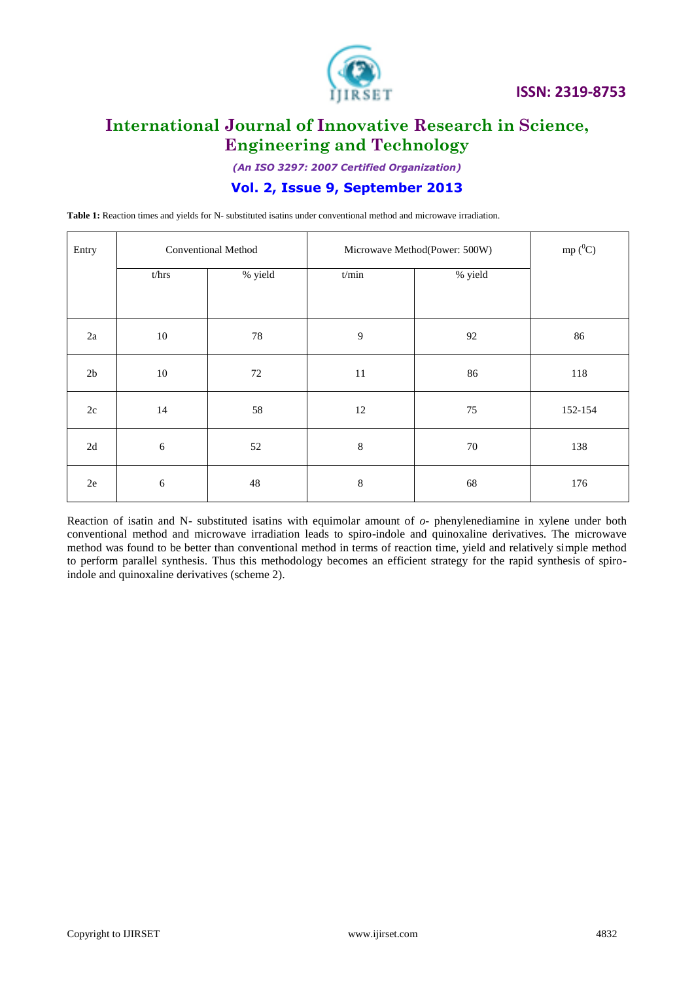

*(An ISO 3297: 2007 Certified Organization)*

### **Vol. 2, Issue 9, September 2013**

**Table 1:** Reaction times and yields for N- substituted isatins under conventional method and microwave irradiation.

| Entry         | Conventional Method |         | Microwave Method(Power: 500W) |         | mp $(^0C)$ |
|---------------|---------------------|---------|-------------------------------|---------|------------|
|               | t/hrs               | % yield | t/min                         | % yield |            |
| $2\mathrm{a}$ | 10                  | 78      | 9                             | 92      | 86         |
| $2\mathsf{b}$ | 10                  | 72      | $11\,$                        | 86      | 118        |
| $2\mathrm{c}$ | 14                  | 58      | 12                            | $75\,$  | 152-154    |
| $2\mathrm{d}$ | $\sqrt{6}$          | 52      | $\,8\,$                       | $70\,$  | 138        |
| $2\mathrm{e}$ | 6                   | 48      | 8                             | 68      | 176        |

Reaction of isatin and N- substituted isatins with equimolar amount of *o*- phenylenediamine in xylene under both conventional method and microwave irradiation leads to spiro-indole and quinoxaline derivatives. The microwave method was found to be better than conventional method in terms of reaction time, yield and relatively simple method to perform parallel synthesis. Thus this methodology becomes an efficient strategy for the rapid synthesis of spiroindole and quinoxaline derivatives (scheme 2).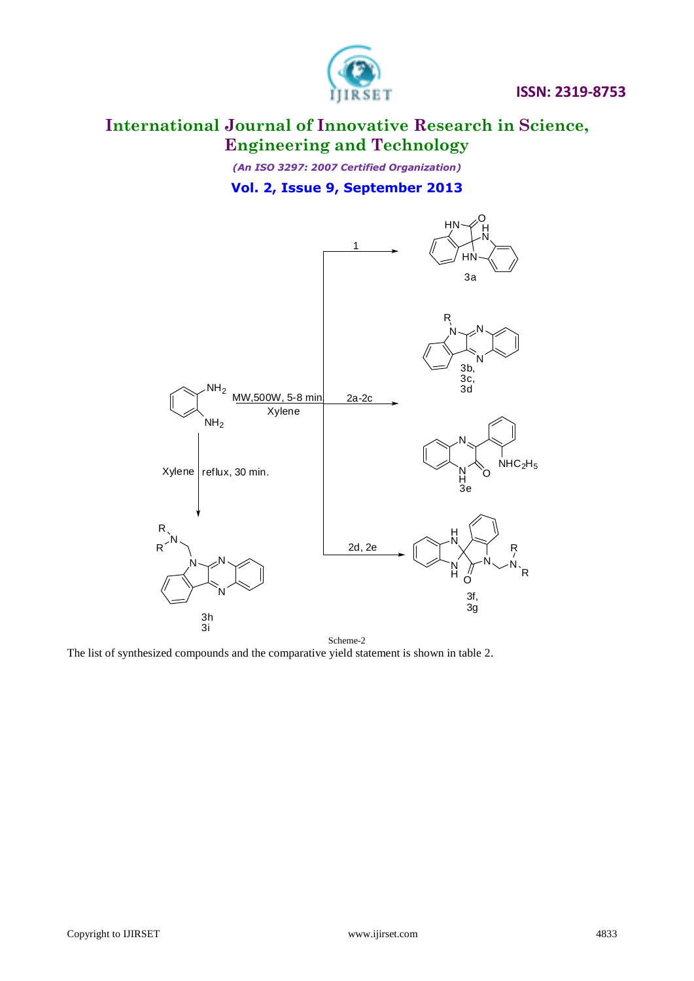

*(An ISO 3297: 2007 Certified Organization)* **Vol. 2, Issue 9, September 2013**



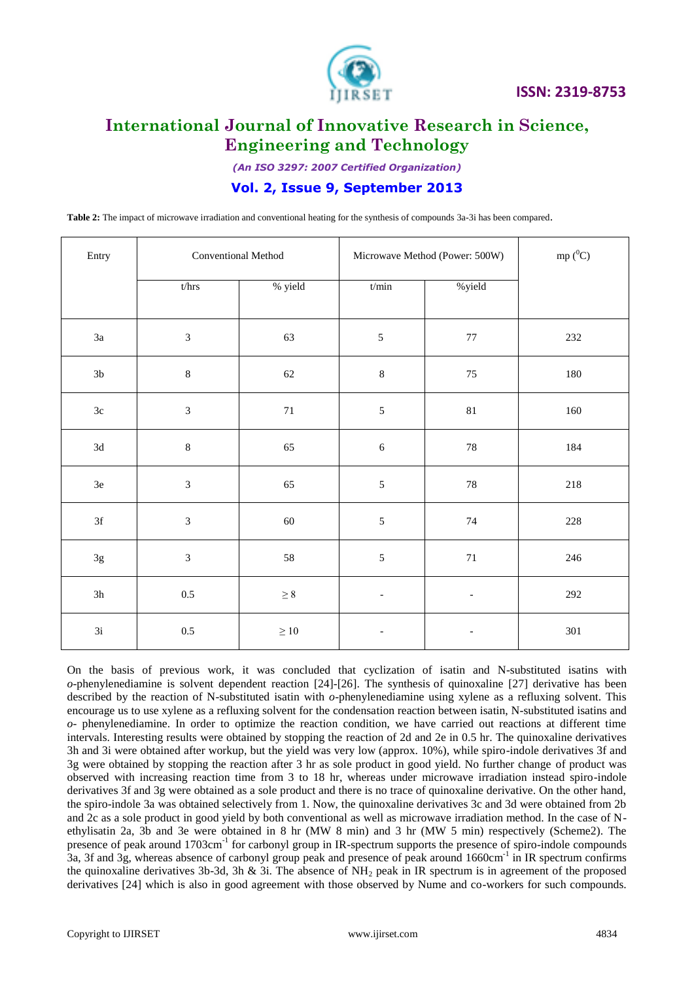

*(An ISO 3297: 2007 Certified Organization)*

### **Vol. 2, Issue 9, September 2013**

**Table 2:** The impact of microwave irradiation and conventional heating for the synthesis of compounds 3a-3i has been compared.

| Entry         | Conventional Method         |           | Microwave Method (Power: 500W) |                          | mp $(^0C)$ |
|---------------|-----------------------------|-----------|--------------------------------|--------------------------|------------|
|               | $t/{\rm hr}$                | % yield   | t/min                          | % yield                  |            |
| $3\mathrm{a}$ | $\ensuremath{\mathfrak{Z}}$ | 63        | $\sqrt{5}$                     | $77\,$                   | 232        |
| $3\mathrm{b}$ | $\,8\,$                     | $62\,$    | $\,8\,$                        | $75\,$                   | $180\,$    |
| $3\mathrm{c}$ | $\mathfrak{Z}$              | $71\,$    | $\sqrt{5}$                     | $81\,$                   | 160        |
| $3\mathrm{d}$ | $\,8\,$                     | 65        | $\sqrt{6}$                     | $78\,$                   | 184        |
| $3\mathrm{e}$ | $\mathfrak{Z}$              | 65        | $\sqrt{5}$                     | $78\,$                   | $218\,$    |
| 3f            | $\ensuremath{\mathfrak{Z}}$ | 60        | $\sqrt{5}$                     | 74                       | 228        |
| $3g$          | $\mathfrak{Z}$              | 58        | $\sqrt{5}$                     | $71\,$                   | $246\,$    |
| 3h            | $0.5\,$                     | $\geq 8$  | $\overline{\phantom{a}}$       |                          | $292\,$    |
| 3i            | $0.5\,$                     | $\geq 10$ | $\overline{\phantom{a}}$       | $\overline{\phantom{0}}$ | $301\,$    |

On the basis of previous work, it was concluded that cyclization of isatin and N-substituted isatins with *o*-phenylenediamine is solvent dependent reaction [24]-[26]. The synthesis of quinoxaline [27] derivative has been described by the reaction of N-substituted isatin with *o*-phenylenediamine using xylene as a refluxing solvent. This encourage us to use xylene as a refluxing solvent for the condensation reaction between isatin, N-substituted isatins and *o*- phenylenediamine. In order to optimize the reaction condition, we have carried out reactions at different time intervals. Interesting results were obtained by stopping the reaction of 2d and 2e in 0.5 hr. The quinoxaline derivatives 3h and 3i were obtained after workup, but the yield was very low (approx. 10%), while spiro-indole derivatives 3f and 3g were obtained by stopping the reaction after 3 hr as sole product in good yield. No further change of product was observed with increasing reaction time from 3 to 18 hr, whereas under microwave irradiation instead spiro-indole derivatives 3f and 3g were obtained as a sole product and there is no trace of quinoxaline derivative. On the other hand, the spiro-indole 3a was obtained selectively from 1. Now, the quinoxaline derivatives 3c and 3d were obtained from 2b and 2c as a sole product in good yield by both conventional as well as microwave irradiation method. In the case of Nethylisatin 2a, 3b and 3e were obtained in 8 hr (MW 8 min) and 3 hr (MW 5 min) respectively (Scheme2). The presence of peak around 1703cm<sup>-1</sup> for carbonyl group in IR-spectrum supports the presence of spiro-indole compounds 3a, 3f and 3g, whereas absence of carbonyl group peak and presence of peak around 1660cm<sup>-1</sup> in IR spectrum confirms the quinoxaline derivatives 3b-3d, 3h & 3i. The absence of  $NH<sub>2</sub>$  peak in IR spectrum is in agreement of the proposed derivatives [24] which is also in good agreement with those observed by Nume and co-workers for such compounds.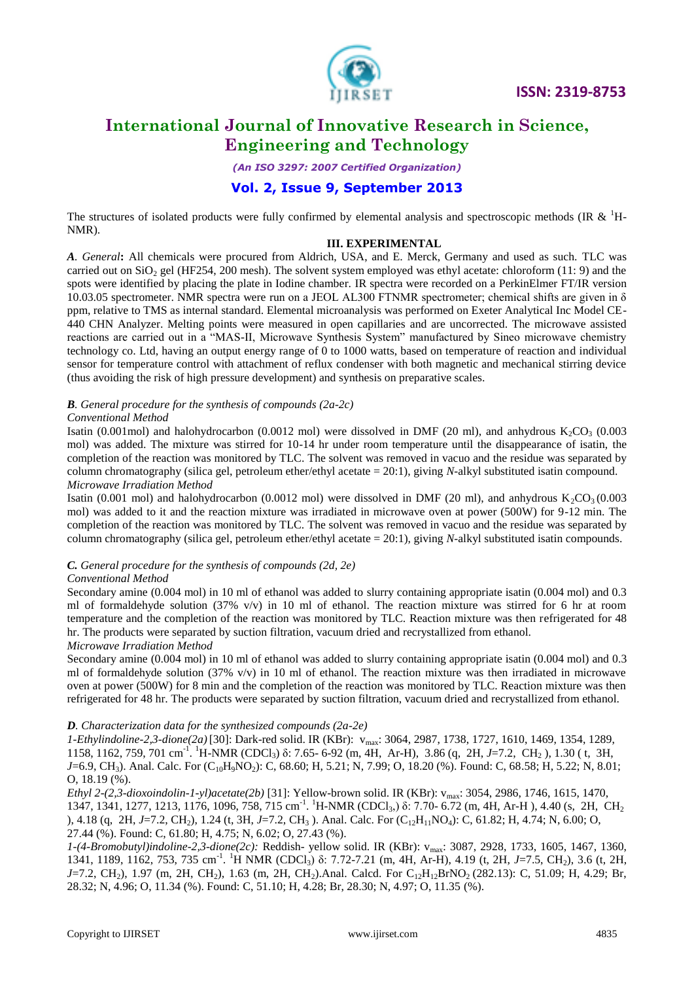

*(An ISO 3297: 2007 Certified Organization)*

### **Vol. 2, Issue 9, September 2013**

The structures of isolated products were fully confirmed by elemental analysis and spectroscopic methods (IR  $\&$   $^{1}$ H-NMR).

#### **III. EXPERIMENTAL**

*A. General***:** All chemicals were procured from Aldrich, USA, and E. Merck, Germany and used as such. TLC was carried out on  $SiO<sub>2</sub>$  gel (HF254, 200 mesh). The solvent system employed was ethyl acetate: chloroform (11: 9) and the spots were identified by placing the plate in Iodine chamber. IR spectra were recorded on a PerkinElmer FT/IR version 10.03.05 spectrometer. NMR spectra were run on a JEOL AL300 FTNMR spectrometer; chemical shifts are given in δ ppm, relative to TMS as internal standard. Elemental microanalysis was performed on Exeter Analytical Inc Model CE-440 CHN Analyzer. Melting points were measured in open capillaries and are uncorrected. The microwave assisted reactions are carried out in a "MAS-II, Microwave Synthesis System" manufactured by Sineo microwave chemistry technology co. Ltd, having an output energy range of 0 to 1000 watts, based on temperature of reaction and individual sensor for temperature control with attachment of reflux condenser with both magnetic and mechanical stirring device (thus avoiding the risk of high pressure development) and synthesis on preparative scales.

#### *B. General procedure for the synthesis of compounds (2a-2c)*

#### *Conventional Method*

Isatin (0.001mol) and halohydrocarbon (0.0012 mol) were dissolved in DMF (20 ml), and anhydrous  $K_2CO_3$  (0.003 mol) was added. The mixture was stirred for 10-14 hr under room temperature until the disappearance of isatin, the completion of the reaction was monitored by TLC. The solvent was removed in vacuo and the residue was separated by column chromatography (silica gel, petroleum ether/ethyl acetate = 20:1), giving *N-*alkyl substituted isatin compound. *Microwave Irradiation Method*

Isatin (0.001 mol) and halohydrocarbon (0.0012 mol) were dissolved in DMF (20 ml), and anhydrous  $K_2CO_3(0.003$ mol) was added to it and the reaction mixture was irradiated in microwave oven at power (500W) for 9-12 min. The completion of the reaction was monitored by TLC. The solvent was removed in vacuo and the residue was separated by column chromatography (silica gel, petroleum ether/ethyl acetate = 20:1), giving *N-*alkyl substituted isatin compounds.

#### *C. General procedure for the synthesis of compounds (2d, 2e)*

#### *Conventional Method*

Secondary amine (0.004 mol) in 10 ml of ethanol was added to slurry containing appropriate isatin (0.004 mol) and 0.3 ml of formaldehyde solution (37% v/v) in 10 ml of ethanol. The reaction mixture was stirred for 6 hr at room temperature and the completion of the reaction was monitored by TLC. Reaction mixture was then refrigerated for 48 hr. The products were separated by suction filtration, vacuum dried and recrystallized from ethanol. *Microwave Irradiation Method*

Secondary amine (0.004 mol) in 10 ml of ethanol was added to slurry containing appropriate isatin (0.004 mol) and 0.3 ml of formaldehyde solution (37% v/v) in 10 ml of ethanol. The reaction mixture was then irradiated in microwave oven at power (500W) for 8 min and the completion of the reaction was monitored by TLC. Reaction mixture was then refrigerated for 48 hr. The products were separated by suction filtration, vacuum dried and recrystallized from ethanol.

#### *D. Characterization data for the synthesized compounds (2a-2e)*

*1-Ethylindoline-2,3-dione(2a)* [30]: Dark-red solid. IR (KBr): vmax: 3064, 2987, 1738, 1727, 1610, 1469, 1354, 1289, 1158, 1162, 759, 701 cm<sup>-1</sup>. <sup>1</sup>H-NMR (CDCl<sub>3</sub>) δ: 7.65- 6-92 (m, 4H, Ar-H), 3.86 (q, 2H, *J*=7.2, CH<sub>2</sub>), 1.30 (t, 3H, *J*=6.9, CH<sub>3</sub>). Anal. Calc. For  $(C_{10}H_9NO_2)$ : C, 68.60; H, 5.21; N, 7.99; O, 18.20 (%). Found: C, 68.58; H, 5.22; N, 8.01; O, 18.19 (%).

*Ethyl 2-(2,3-dioxoindolin-1-yl)acetate(2b)* [31]: Yellow-brown solid. IR (KBr): vmax: 3054, 2986, 1746, 1615, 1470, 1347, 1341, 1277, 1213, 1176, 1096, 758, 715 cm<sup>-1</sup>. <sup>1</sup>H-NMR (CDCl<sub>3</sub>,) δ: 7.70- 6.72 (m, 4H, Ar-H), 4.40 (s, 2H, CH<sub>2</sub> ), 4.18 (q, 2H, *J*=7.2, CH<sub>2</sub>), 1.24 (t, 3H, *J*=7.2, CH<sub>3</sub>). Anal. Calc. For (C<sub>12</sub>H<sub>11</sub>NO<sub>4</sub>): C, 61.82; H, 4.74; N, 6.00; O, 27.44 (%). Found: C, 61.80; H, 4.75; N, 6.02; O, 27.43 (%).

*1-(4-Bromobutyl)indoline-2,3-dione(2c):* Reddish- yellow solid. IR (KBr): vmax: 3087, 2928, 1733, 1605, 1467, 1360, 1341, 1189, 1162, 753, 735 cm<sup>-1</sup>. <sup>1</sup>H NMR (CDCl<sub>3</sub>) δ: 7.72-7.21 (m, 4H, Ar-H), 4.19 (t, 2H, *J*=7.5, CH<sub>2</sub>), 3.6 (t, 2H, *J*=7.2, CH<sub>2</sub>), 1.97 (m, 2H, CH<sub>2</sub>), 1.63 (m, 2H, CH<sub>2</sub>).Anal. Calcd. For C<sub>12</sub>H<sub>12</sub>BrNO<sub>2</sub> (282.13): C, 51.09; H, 4.29; Br, 28.32; N, 4.96; O, 11.34 (%). Found: C, 51.10; H, 4.28; Br, 28.30; N, 4.97; O, 11.35 (%).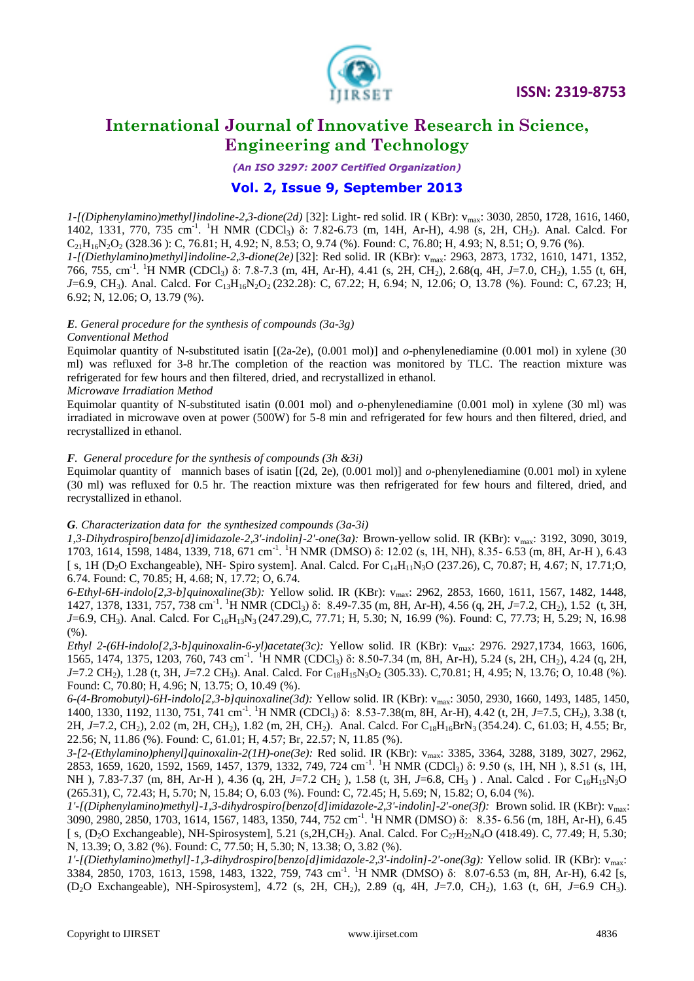

*(An ISO 3297: 2007 Certified Organization)*

### **Vol. 2, Issue 9, September 2013**

*1-[(Diphenylamino)methyl]indoline-2,3-dione(2d)* [32]: Light- red solid. IR ( KBr): vmax: 3030, 2850, 1728, 1616, 1460, 1402, 1331, 770, 735 cm<sup>-1</sup>. <sup>1</sup>H NMR (CDCl<sub>3</sub>) δ: 7.82-6.73 (m, 14H, Ar-H), 4.98 (s, 2H, CH<sub>2</sub>). Anal. Calcd. For  $C_{21}H_{16}N_2O_2$  (328.36 ): C, 76.81; H, 4.92; N, 8.53; O, 9.74 (%). Found: C, 76.80; H, 4.93; N, 8.51; O, 9.76 (%). *1-[(Diethylamino)methyl]indoline-2,3-dione(2e)* [32]: Red solid. IR (KBr): vmax: 2963, 2873, 1732, 1610, 1471, 1352, 766, 755, cm-1 . <sup>1</sup>H NMR (CDCl3) δ: 7.8-7.3 (m, 4H, Ar-H), 4.41 (s, 2H, CH2), 2.68(q, 4H, *J*=7.0, CH2), 1.55 (t, 6H, *J*=6.9, CH<sub>3</sub>). Anal. Calcd. For C<sub>13</sub>H<sub>16</sub>N<sub>2</sub>O<sub>2</sub> (232.28): C, 67.22; H, 6.94; N, 12.06; O, 13.78 (%). Found: C, 67.23; H, 6.92; N, 12.06; O, 13.79 (%).

#### *E. General procedure for the synthesis of compounds (3a-3g)*

#### *Conventional Method*

Equimolar quantity of N-substituted isatin [(2a-2e), (0.001 mol)] and *o*-phenylenediamine (0.001 mol) in xylene (30 ml) was refluxed for 3-8 hr.The completion of the reaction was monitored by TLC. The reaction mixture was refrigerated for few hours and then filtered, dried, and recrystallized in ethanol.

#### *Microwave Irradiation Method*

Equimolar quantity of N-substituted isatin (0.001 mol) and *o*-phenylenediamine (0.001 mol) in xylene (30 ml) was irradiated in microwave oven at power (500W) for 5-8 min and refrigerated for few hours and then filtered, dried, and recrystallized in ethanol.

#### *F. General procedure for the synthesis of compounds (3h &3i)*

Equimolar quantity of mannich bases of isatin [(2d, 2e), (0.001 mol)] and *o*-phenylenediamine (0.001 mol) in xylene (30 ml) was refluxed for 0.5 hr. The reaction mixture was then refrigerated for few hours and filtered, dried, and recrystallized in ethanol.

#### *G. Characterization data for the synthesized compounds (3a-3i)*

*1,3-Dihydrospiro[benzo[d]imidazole-2,3'-indolin]-2'-one(3a):* Brown-yellow solid. IR (KBr): vmax: 3192, 3090, 3019, 1703, 1614, 1598, 1484, 1339, 718, 671 cm<sup>-1</sup>. <sup>1</sup>H NMR (DMSO) δ: 12.02 (s, 1H, NH), 8.35- 6.53 (m, 8H, Ar-H), 6.43 [ s, 1H (D<sub>2</sub>O Exchangeable), NH- Spiro system]. Anal. Calcd. For  $C_{14}H_{11}N_3O$  (237.26), C, 70.87; H, 4.67; N, 17.71;O, 6.74. Found: C, 70.85; H, 4.68; N, 17.72; O, 6.74.

*6-Ethyl-6H-indolo[2,3-b]quinoxaline(3b):* Yellow solid. IR (KBr): vmax: 2962, 2853, 1660, 1611, 1567, 1482, 1448, 1427, 1378, 1331, 757, 738 cm<sup>-1</sup>. <sup>1</sup>H NMR (CDCl<sub>3</sub>) δ: 8.49-7.35 (m, 8H, Ar-H), 4.56 (q, 2H, *J*=7.2, CH<sub>2</sub>), 1.52 (t, 3H, *J*=6.9, CH<sub>3</sub>). Anal. Calcd. For C<sub>16</sub>H<sub>13</sub>N<sub>3</sub> (247.29),C, 77.71; H, 5.30; N, 16.99 (%). Found: C, 77.73; H, 5.29; N, 16.98 (%).

*Ethyl 2-(6H-indolo[2,3-b]quinoxalin-6-yl)acetate(3c):* Yellow solid. IR (KBr): vmax: 2976. 2927,1734, 1663, 1606, 1565, 1474, 1375, 1203, 760, 743 cm<sup>-1</sup>. <sup>1</sup>H NMR (CDCl<sub>3</sub>) δ: 8.50-7.34 (m, 8H, Ar-H), 5.24 (s, 2H, CH<sub>2</sub>), 4.24 (q, 2H, *J*=7.2 CH<sub>2</sub>), 1.28 (t, 3H, *J*=7.2 CH<sub>3</sub>). Anal. Calcd. For C<sub>18</sub>H<sub>15</sub>N<sub>3</sub>O<sub>2</sub> (305.33). C,70.81; H, 4.95; N, 13.76; O, 10.48 (%). Found: C, 70.80; H, 4.96; N, 13.75; O, 10.49 (%).

*6-(4-Bromobutyl)-6H-indolo[2,3-b]quinoxaline(3d):* Yellow solid. IR (KBr): vmax: 3050, 2930, 1660, 1493, 1485, 1450, 1400, 1330, 1192, 1130, 751, 741 cm<sup>-1</sup>. <sup>1</sup>H NMR (CDCl<sub>3</sub>) δ: 8.53-7.38(m, 8H, Ar-H), 4.42 (t, 2H, *J*=7.5, CH<sub>2</sub>), 3.38 (t, 2H, *J*=7.2, CH<sub>2</sub>), 2.02 (m, 2H, CH<sub>2</sub>), 1.82 (m, 2H, CH<sub>2</sub>). Anal. Calcd. For C<sub>18</sub>H<sub>16</sub>BrN<sub>3</sub> (354.24). C, 61.03; H, 4.55; Br, 22.56; N, 11.86 (%). Found: C, 61.01; H, 4.57; Br, 22.57; N, 11.85 (%).

*3-[2-(Ethylamino)phenyl]quinoxalin-2(1H)-one(3e):* Red solid. IR (KBr): vmax: 3385, 3364, 3288, 3189, 3027, 2962, 2853, 1659, 1620, 1592, 1569, 1457, 1379, 1332, 749, 724 cm<sup>-1</sup>. <sup>1</sup>H NMR (CDCl<sub>3</sub>) δ: 9.50 (s, 1H, NH), 8.51 (s, 1H, NH ), 7.83-7.37 (m, 8H, Ar-H ), 4.36 (q, 2H, *J*=7.2 CH<sub>2</sub>), 1.58 (t, 3H, *J*=6.8, CH<sub>3</sub>). Anal. Calcd. For C<sub>16</sub>H<sub>15</sub>N<sub>3</sub>O (265.31), C, 72.43; H, 5.70; N, 15.84; O, 6.03 (%). Found: C, 72.45; H, 5.69; N, 15.82; O, 6.04 (%).

*1'-[(Diphenylamino)methyl]-1,3-dihydrospiro[benzo[d]imidazole-2,3'-indolin]-2'-one(3f):* Brown solid. IR (KBr): vmax: 3090, 2980, 2850, 1703, 1614, 1567, 1483, 1350, 744, 752 cm<sup>-1</sup>. <sup>1</sup>H NMR (DMSO) δ: 8.35- 6.56 (m, 18H, Ar-H), 6.45 [ s, (D<sub>2</sub>O Exchangeable), NH-Spirosystem], 5.21 (s, 2H, CH<sub>2</sub>). Anal. Calcd. For  $C_{27}H_{22}N_4O$  (418.49). C, 77.49; H, 5.30; N, 13.39; O, 3.82 (%). Found: C, 77.50; H, 5.30; N, 13.38; O, 3.82 (%).

*1'-[(Diethylamino)methyl]-1,3-dihydrospiro[benzo[d]imidazole-2,3'-indolin]-2'-one(3g):* Yellow solid. IR (KBr): vmax: 3384, 2850, 1703, 1613, 1598, 1483, 1322, 759, 743 cm<sup>-1</sup>. <sup>1</sup>H NMR (DMSO) δ: 8.07-6.53 (m, 8H, Ar-H), 6.42 [s, (D2O Exchangeable), NH-Spirosystem], 4.72 (s, 2H, CH2), 2.89 (q, 4H, *J*=7.0, CH2), 1.63 (t, 6H, *J*=6.9 CH3).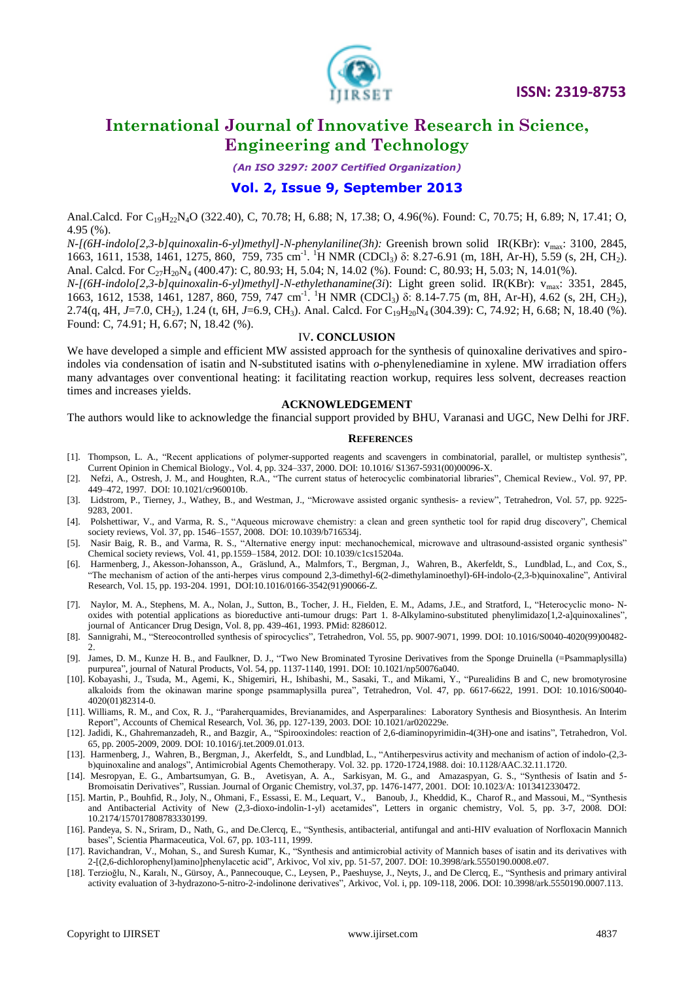

*(An ISO 3297: 2007 Certified Organization)*

### **Vol. 2, Issue 9, September 2013**

Anal.Calcd. For C<sub>19</sub>H<sub>22</sub>N<sub>4</sub>O (322.40), C, 70.78; H, 6.88; N, 17.38; O, 4.96(%). Found: C, 70.75; H, 6.89; N, 17.41; O, 4.95 (%).

*N-[(6H-indolo[2,3-b]quinoxalin-6-yl)methyl]-N-phenylaniline(3h):* Greenish brown solid IR(KBr): v<sub>max</sub>: 3100, 2845, 1663, 1611, 1538, 1461, 1275, 860, 759, 735 cm<sup>-1</sup>. <sup>1</sup>H NMR (CDCl<sub>3</sub>) δ: 8.27-6.91 (m, 18H, Ar-H), 5.59 (s, 2H, CH<sub>2</sub>). Anal. Calcd. For C<sub>27</sub>H<sub>20</sub>N<sub>4</sub> (400.47): C, 80.93; H, 5.04; N, 14.02 (%). Found: C, 80.93; H, 5.03; N, 14.01(%).

*N-[(6H-indolo[2,3-b]quinoxalin-6-yl)methyl]-N-ethylethanamine(3i*): Light green solid. IR(KBr): vmax: 3351, 2845, 1663, 1612, 1538, 1461, 1287, 860, 759, 747 cm<sup>-1</sup>. <sup>1</sup>H NMR (CDCl<sub>3</sub>) δ: 8.14-7.75 (m, 8H, Ar-H), 4.62 (s, 2H, CH<sub>2</sub>), 2.74(q, 4H, *J*=7.0, CH<sub>2</sub>), 1.24 (t, 6H, *J*=6.9, CH<sub>3</sub>). Anal. Calcd. For C<sub>19</sub>H<sub>20</sub>N<sub>4</sub> (304.39): C, 74.92; H, 6.68; N, 18.40 (%). Found: C, 74.91; H, 6.67; N, 18.42 (%).

#### IV**. CONCLUSION**

We have developed a simple and efficient MW assisted approach for the synthesis of quinoxaline derivatives and spiroindoles via condensation of isatin and N-substituted isatins with *o*-phenylenediamine in xylene. MW irradiation offers many advantages over conventional heating: it facilitating reaction workup, requires less solvent, decreases reaction times and increases yields.

#### **ACKNOWLEDGEMENT**

The authors would like to acknowledge the financial support provided by BHU, Varanasi and UGC, New Delhi for JRF.

#### **REFERENCES**

- [1]. Thompson, L. A., "Recent applications of polymer-supported reagents and scavengers in combinatorial, parallel, or multistep synthesis", Current Opinion in Chemical Biology., Vol. 4, pp. 324–337, 2000. DOI: 10.1016/ S1367-5931(00)00096-X.
- [2]. Nefzi, A., Ostresh, J. M., and Houghten, R.A., "The current status of heterocyclic combinatorial libraries", Chemical Review., Vol. 97, PP. 449–472, 1997. DOI: 10.1021/cr960010b.
- [3]. Lidstrom, P., Tierney, J., Wathey, B., and Westman, J., "Microwave assisted organic synthesis- a review", Tetrahedron, Vol. 57, pp. 9225- 9283, 2001.
- [4]. Polshettiwar, V., and Varma, R. S., "Aqueous microwave chemistry: a clean and green synthetic tool for rapid drug discovery", Chemical society reviews, Vol. 37, pp. 1546–1557, 2008. DOI: 10.1039/b716534j.
- [5]. Nasir Baig, R. B., and Varma, R. S., "Alternative energy input: mechanochemical, microwave and ultrasound-assisted organic synthesis" Chemical society reviews, Vol. 41, pp.1559–1584, 2012. DOI: 10.1039/c1cs15204a.
- [6]. [Harmenberg,](http://www.researchgate.net/researcher/6439854_J_Harmenberg/) J., [Akesson-Johansson,](http://www.researchgate.net/researcher/38264911_A_Akesson-Johansson/) A., [Gräslund,](http://www.researchgate.net/researcher/60205339_A_Graeslund/) A., [Malmfors,](http://www.researchgate.net/researcher/35499810_T_Malmfors/) T., [Bergman,](http://www.researchgate.net/researcher/63459474_J_Bergman/) J., [Wahren,](http://www.researchgate.net/researcher/39402007_B_Wahren/) B., [Akerfeldt,](http://www.researchgate.net/researcher/67351233_S_Akerfeldt/) S., [Lundblad,](http://www.researchgate.net/researcher/47055813_L_Lundblad/) L., and [Cox,](http://www.researchgate.net/researcher/67398101_S_Cox/) S., "The mechanism of action of the anti-herpes virus compound 2,3-dimethyl-6(2-dimethylaminoethyl)-6H-indolo-(2,3-b)quinoxaline", Antiviral Research, Vol. 15, pp. 193-204. 1991, DOI:10.1016/0166-3542(91)90066-Z.
- [7]. Naylor, M. A., Stephens, M. A., Nolan, J., Sutton, B., Tocher, J. H., Fielden, E. M., Adams, J.E., and Stratford, I., "Heterocyclic mono- Noxides with potential applications as bioreductive anti-tumour drugs: Part 1. 8-Alkylamino-substituted phenylimidazo[1,2-a]quinoxalines", journal of Anticancer Drug Design, Vol. 8, pp. 439-461, 1993. PMid: 8286012.
- [8]. Sannigrahi, M., "Stereocontrolled synthesis of spirocyclics", Tetrahedron, Vol. 55, pp. 9007-9071, 1999. DOI[: 10.1016/S0040-4020\(99\)00482-](http://dx.doi.org/10.1016/S0040-4020(99)00482-2) [2.](http://dx.doi.org/10.1016/S0040-4020(99)00482-2)
- [9]. James, D. M., Kunze H. B., and Faulkner, D. J., "Two New Brominated Tyrosine Derivatives from the Sponge Druinella (=Psammaplysilla) purpurea", journal of Natural Products, Vol. 54, pp. 1137-1140, 1991. DOI[: 10.1021/np50076a040.](http://dx.doi.org/10.1021/np50076a040)
- [10]. Kobayashi, J., Tsuda, M., Agemi, K., Shigemiri, H., Ishibashi, M., Sasaki, T., and Mikami, Y., "Purealidins B and C, new bromotyrosine alkaloids from the okinawan marine sponge psammaplysilla purea", Tetrahedron, Vol. 47, pp. 6617-6622, 1991. DOI: 10.1016/S0040- 4020(01)82314-0.
- [11]. Williams, R. M., and Cox, R. J., "Paraherquamides, Brevianamides, and Asperparalines:  Laboratory Synthesis and Biosynthesis. An Interim Report", Accounts of Chemical Research, Vol. 36, pp. 127-139, 2003. DOI: [10.1021/ar020229e.](http://dx.doi.org/10.1021/ar020229e)
- [12]. Jadidi, K., Ghahremanzadeh, R., and Bazgir, A., ["Spirooxindoles: reaction of 2,6-diaminopyrimidin-4\(3H\)-one and isatins"](http://www.sciencedirect.com/science/article/pii/S0040402009000192), Tetrahedron, Vol. 65, pp. 2005-2009, 2009. DOI: 10.1016/j.tet.2009.01.013.
- [13]. [Harmenberg,](http://aac.asm.org/search?author1=J+Harmenberg&sortspec=date&submit=Submit) J., [Wahren,](http://aac.asm.org/search?author1=B+Wahren&sortspec=date&submit=Submit) B., [Bergman,](http://aac.asm.org/search?author1=J+Bergman&sortspec=date&submit=Submit) J., [Akerfeldt,](http://aac.asm.org/search?author1=S+Akerfeldt&sortspec=date&submit=Submit) S., an[d Lundblad,](http://aac.asm.org/search?author1=L+Lundblad&sortspec=date&submit=Submit) L., "Antiherpesvirus activity and mechanism of action of indolo-(2,3 b)quinoxaline and analogs", Antimicrobial Agents Chemotherapy. Vol. 32. pp. 1720-1724,1988. doi: 10.1128/AAC.32.11.1720.
- [14]. [Mesropyan,](http://www.researchgate.net/researcher/78253264_E_G_Mesropyan/) E. G., [Ambartsumyan,](http://www.researchgate.net/researcher/77804773_G_B_Ambartsumyan/) G. B., [Avetisyan,](http://www.researchgate.net/researcher/76180388_A_A_Avetisyan/) A. A., [Sarkisyan,](http://www.researchgate.net/researcher/2024169898_M_G_Sarkisyan/) M. G., and [Amazaspyan,](http://www.researchgate.net/researcher/2024118767_G_S_Amazaspyan/) G. S., "Synthesis of Isatin and 5- Bromoisatin Derivatives", Russian. Journal of Organic Chemistry, vol.37, pp. 1476-1477, 2001. DOI: 10.1023/A: 1013412330472.
- [15]. Martin, P., Bouhfid, R., Joly, N., Ohmani, F., Essassi, E. M., Lequart, V., Banoub, J., Kheddid, K., Charof R., and Massoui, M., "Synthesis and Antibacterial Activity of New (2,3-dioxo-indolin-1-yl) acetamides", Letters in organic chemistry, Vol. 5, pp. 3-7, 2008. DOI: 10.2174/157017808783330199.
- [16]. Pandeya, S. N., Sriram, D., Nath, G., and De.Clercq, E., "Synthesis, antibacterial, antifungal and anti-HIV evaluation of Norfloxacin Mannich bases", Scientia Pharmaceutica, Vol. 67, pp. 103-111, 1999.
- [17]. Ravichandran, V., Mohan, S., and Suresh Kumar, K., "Synthesis and antimicrobial activity of Mannich bases of isatin and its derivatives with 2-[(2,6-dichlorophenyl)amino]phenylacetic acid", Arkivoc, Vol xiv, pp. 51-57, 2007. DOI: 10.3998/ark.5550190.0008.e07.
- [18]. Terzioğlu, N., Karalı, N., Gürsoy, A., Pannecouque, C., Leysen, P., Paeshuyse, J., Neyts, J., and De Clercq, E., "Synthesis and primary antiviral activity evaluation of 3-hydrazono-5-nitro-2-indolinone derivatives", Arkivoc, Vol. i, pp. 109-118, 2006. [DOI: 10.3998/ark.5550190.0007.113.](http://dx.doi.org/10.3998%2Fark.5550190.0007.113)